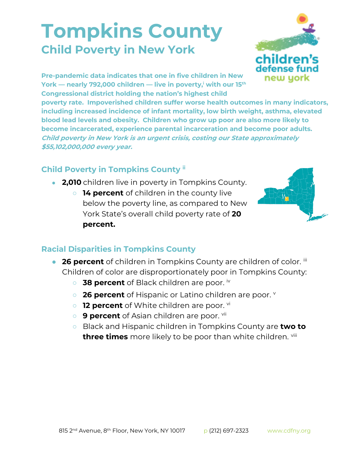## **Tompkins County Child Poverty in New York**



**Pre-pandemic data indicates that one in five children in New York — nearly 792,000 children — live in poverty,<sup>i</sup> with our 15th Congressional district holding the nation's highest child** 

**poverty rate. Impoverished children suffer worse health outcomes in many indicators, including increased incidence of infant mortality, low birth weight, asthma, elevated blood lead levels and obesity. Children who grow up poor are also more likely to become incarcerated, experience parental incarceration and become poor adults. Child poverty in New York is an urgent crisis, costing our State approximately \$55,102,000,000 every year.**

## **Child Poverty in Tompkins County ii**

- **2,010** children live in poverty in Tompkins County.
	- **14 percent** of children in the county live below the poverty line, as compared to New York State's overall child poverty rate of **20 percent.**



## **Racial Disparities in Tompkins County**

- **26 percent** of children in Tompkins County are children of color. iii Children of color are disproportionately poor in Tompkins County:
	- 38 percent of Black children are poor. iv
	- **26 percent** of Hispanic or Latino children are poor. **v**
	- **12 percent** of White children are poor. vi
	- **9 percent** of Asian children are poor. <sup>vii</sup>
	- Black and Hispanic children in Tompkins County are **two to three times** more likely to be poor than white children. viii